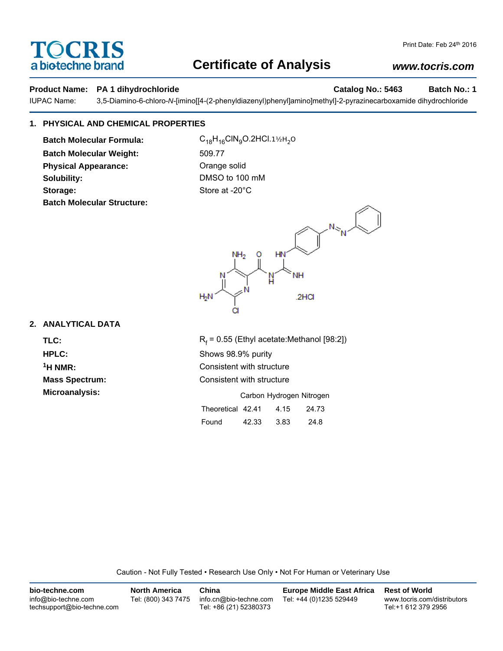# OCRIS a biotechne brand

## **Certificate of Analysis**

## *www.tocris.com*

#### **Product Name: PA 1 dihydrochloride Catalog No.: 5463 Batch No.: 1**

IUPAC Name: 3,5-Diamino-6-chloro-*N*-[imino[[4-(2-phenyldiazenyl)phenyl]amino]methyl]-2-pyrazinecarboxamide dihydrochloride

## **1. PHYSICAL AND CHEMICAL PROPERTIES**

**Batch Molecular Formula:** C<sub>18</sub>H<sub>16</sub>ClN<sub>9</sub>O.2HCl.1½H<sub>2</sub>O **Batch Molecular Weight:** 509.77 **Physical Appearance: Cange solid** Orange solid **Solubility:** DMSO to 100 mM **Storage:** Store at -20°C **Batch Molecular Structure:**



### **2. ANALYTICAL DATA**

TLC: R<sub>f</sub>

 $R_f$  = 0.55 (Ethyl acetate:Methanol [98:2]) **HPLC:** Shows 98.9% purity <sup>1</sup>H NMR: Consistent with structure **Mass Spectrum:** Consistent with structure **Microanalysis:** Microanalysis: **Carbon Hydrogen Nitrogen** Theoretical 42.41 4.15 24.73

| .     |       | ------ | ------ |  |
|-------|-------|--------|--------|--|
| Found | 42.33 | 3.83   | 24.8   |  |

Caution - Not Fully Tested • Research Use Only • Not For Human or Veterinary Use

| bio-techne.com                                    | <b>North America</b> | China                                            | <b>Europe Middle East Africa</b> | <b>Rest of World</b>                               |
|---------------------------------------------------|----------------------|--------------------------------------------------|----------------------------------|----------------------------------------------------|
| info@bio-techne.com<br>techsupport@bio-techne.com | Tel: (800) 343 7475  | info.cn@bio-techne.com<br>Tel: +86 (21) 52380373 | Tel: +44 (0)1235 529449          | www.tocris.com/distributors<br>Tel:+1 612 379 2956 |